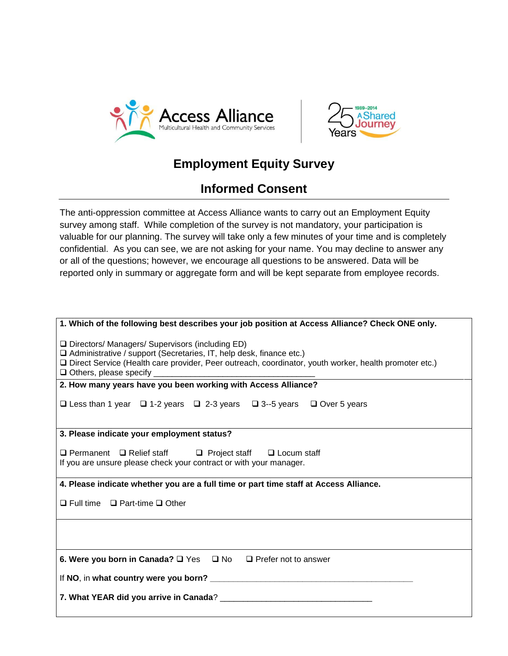



## **Employment Equity Survey**

## **Informed Consent**

The anti-oppression committee at Access Alliance wants to carry out an Employment Equity survey among staff. While completion of the survey is not mandatory, your participation is valuable for our planning. The survey will take only a few minutes of your time and is completely confidential. As you can see, we are not asking for your name. You may decline to answer any or all of the questions; however, we encourage all questions to be answered. Data will be reported only in summary or aggregate form and will be kept separate from employee records.

| 1. Which of the following best describes your job position at Access Alliance? Check ONE only.                                                                                                                                      |  |  |  |  |
|-------------------------------------------------------------------------------------------------------------------------------------------------------------------------------------------------------------------------------------|--|--|--|--|
| □ Directors/ Managers/ Supervisors (including ED)<br>□ Administrative / support (Secretaries, IT, help desk, finance etc.)<br>Direct Service (Health care provider, Peer outreach, coordinator, youth worker, health promoter etc.) |  |  |  |  |
| 2. How many years have you been working with Access Alliance?                                                                                                                                                                       |  |  |  |  |
| □ Less than 1 year □ 1-2 years □ 2-3 years □ 3--5 years □ Over 5 years                                                                                                                                                              |  |  |  |  |
| 3. Please indicate your employment status?                                                                                                                                                                                          |  |  |  |  |
| $\Box$ Permanent $\Box$ Relief staff $\Box$ Project staff $\Box$ Locum staff<br>If you are unsure please check your contract or with your manager.                                                                                  |  |  |  |  |
| 4. Please indicate whether you are a full time or part time staff at Access Alliance.                                                                                                                                               |  |  |  |  |
| $\Box$ Full time $\Box$ Part-time $\Box$ Other                                                                                                                                                                                      |  |  |  |  |
|                                                                                                                                                                                                                                     |  |  |  |  |
| 6. Were you born in Canada? □ Yes □ No □ Prefer not to answer                                                                                                                                                                       |  |  |  |  |
|                                                                                                                                                                                                                                     |  |  |  |  |
|                                                                                                                                                                                                                                     |  |  |  |  |